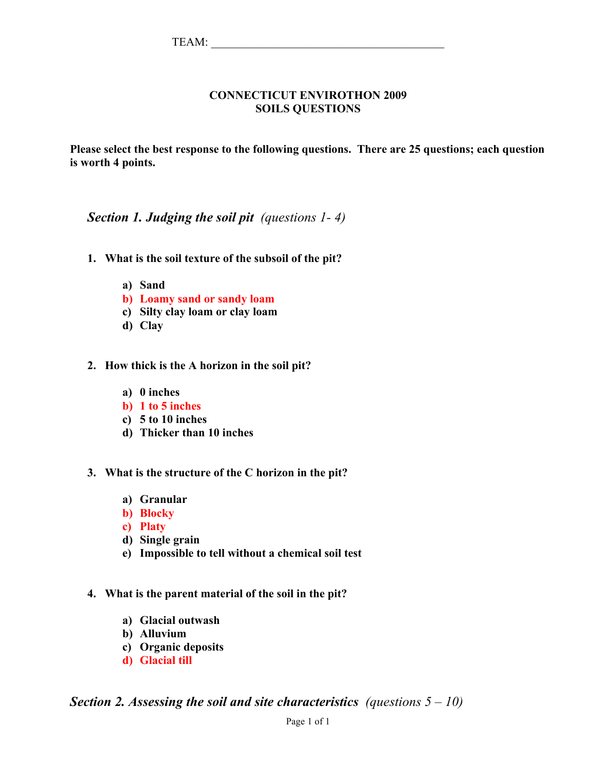### **CONNECTICUT ENVIROTHON 2009 SOILS QUESTIONS**

**Please select the best response to the following questions. There are 25 questions; each question is worth 4 points.**

## *Section 1. Judging the soil pit (questions 1- 4)*

- **1. What is the soil texture of the subsoil of the pit?**
	- **a) Sand**
	- **b) Loamy sand or sandy loam**
	- **c) Silty clay loam or clay loam**
	- **d) Clay**
- **2. How thick is the A horizon in the soil pit?** 
	- **a) 0 inches**
	- **b) 1 to 5 inches**
	- **c) 5 to 10 inches**
	- **d) Thicker than 10 inches**
- **3. What is the structure of the C horizon in the pit?**
	- **a) Granular**
	- **b) Blocky**
	- **c) Platy**
	- **d) Single grain**
	- **e) Impossible to tell without a chemical soil test**
- **4. What is the parent material of the soil in the pit?**
	- **a) Glacial outwash**
	- **b) Alluvium**
	- **c) Organic deposits**
	- **d) Glacial till**

*Section 2. Assessing the soil and site characteristics (questions 5 – 10)*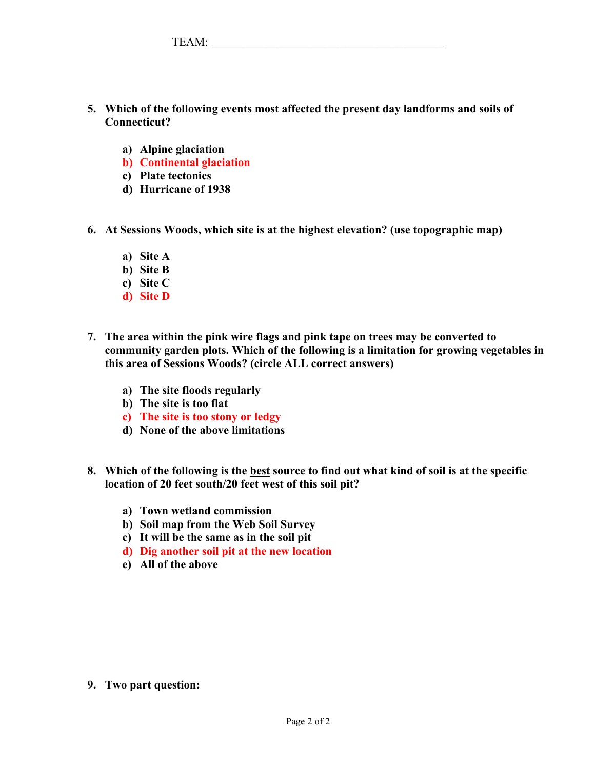| ௱௱ |
|----|
|    |

- **5. Which of the following events most affected the present day landforms and soils of Connecticut?** 
	- **a) Alpine glaciation**
	- **b) Continental glaciation**
	- **c) Plate tectonics**
	- **d) Hurricane of 1938**
- **6. At Sessions Woods, which site is at the highest elevation? (use topographic map)**
	- **a) Site A**
	- **b) Site B**
	- **c) Site C**
	- **d) Site D**
- **7. The area within the pink wire flags and pink tape on trees may be converted to community garden plots. Which of the following is a limitation for growing vegetables in this area of Sessions Woods? (circle ALL correct answers)**
	- **a) The site floods regularly**
	- **b) The site is too flat**
	- **c) The site is too stony or ledgy**
	- **d) None of the above limitations**
- **8. Which of the following is the best source to find out what kind of soil is at the specific location of 20 feet south/20 feet west of this soil pit?**
	- **a) Town wetland commission**
	- **b) Soil map from the Web Soil Survey**
	- **c) It will be the same as in the soil pit**
	- **d) Dig another soil pit at the new location**
	- **e) All of the above**

**9. Two part question:**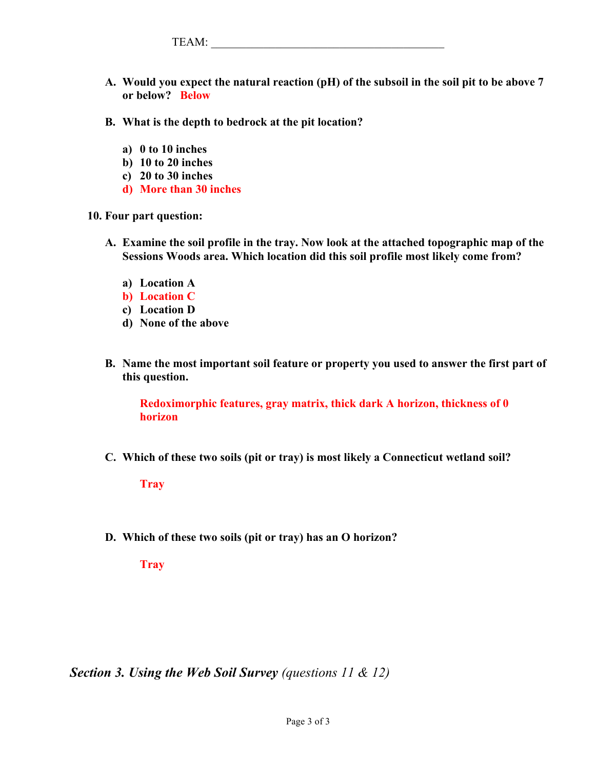TEAM: \_\_\_\_\_\_\_\_\_\_\_\_\_\_\_\_\_\_\_\_\_\_\_\_\_\_\_\_\_\_\_\_\_\_\_\_\_\_\_\_

- **A. Would you expect the natural reaction (pH) of the subsoil in the soil pit to be above 7 or below? Below**
- **B. What is the depth to bedrock at the pit location?** 
	- **a) 0 to 10 inches**
	- **b) 10 to 20 inches**
	- **c) 20 to 30 inches**
	- **d) More than 30 inches**

**10. Four part question:** 

- **A. Examine the soil profile in the tray. Now look at the attached topographic map of the Sessions Woods area. Which location did this soil profile most likely come from?**
	- **a) Location A**
	- **b) Location C**
	- **c) Location D**
	- **d) None of the above**
- **B. Name the most important soil feature or property you used to answer the first part of this question.**

**Redoximorphic features, gray matrix, thick dark A horizon, thickness of 0 horizon**

**C. Which of these two soils (pit or tray) is most likely a Connecticut wetland soil?**

**Tray**

**D. Which of these two soils (pit or tray) has an O horizon?**

**Tray**

*Section 3. Using the Web Soil Survey (questions 11 & 12)*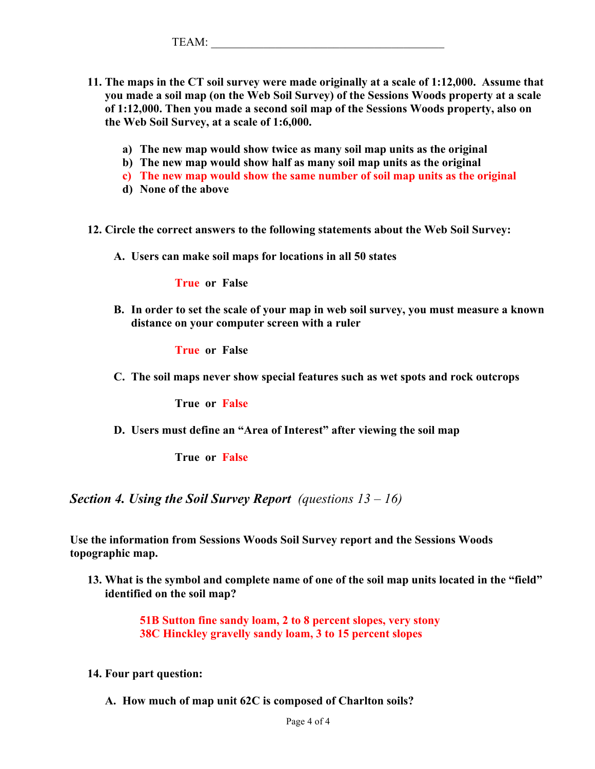- **11. The maps in the CT soil survey were made originally at a scale of 1:12,000. Assume that you made a soil map (on the Web Soil Survey) of the Sessions Woods property at a scale of 1:12,000. Then you made a second soil map of the Sessions Woods property, also on the Web Soil Survey, at a scale of 1:6,000.**
	- **a) The new map would show twice as many soil map units as the original**
	- **b) The new map would show half as many soil map units as the original**
	- **c) The new map would show the same number of soil map units as the original**
	- **d) None of the above**
- **12. Circle the correct answers to the following statements about the Web Soil Survey:**
	- **A. Users can make soil maps for locations in all 50 states**

**True or False**

**B. In order to set the scale of your map in web soil survey, you must measure a known distance on your computer screen with a ruler**

**True or False**

**C. The soil maps never show special features such as wet spots and rock outcrops** 

**True or False**

**D. Users must define an "Area of Interest" after viewing the soil map** 

**True or False**

*Section 4. Using the Soil Survey Report (questions 13 – 16)*

**Use the information from Sessions Woods Soil Survey report and the Sessions Woods topographic map.** 

**13. What is the symbol and complete name of one of the soil map units located in the "field" identified on the soil map?**

> **51B Sutton fine sandy loam, 2 to 8 percent slopes, very stony 38C Hinckley gravelly sandy loam, 3 to 15 percent slopes**

- **14. Four part question:**
	- **A. How much of map unit 62C is composed of Charlton soils?**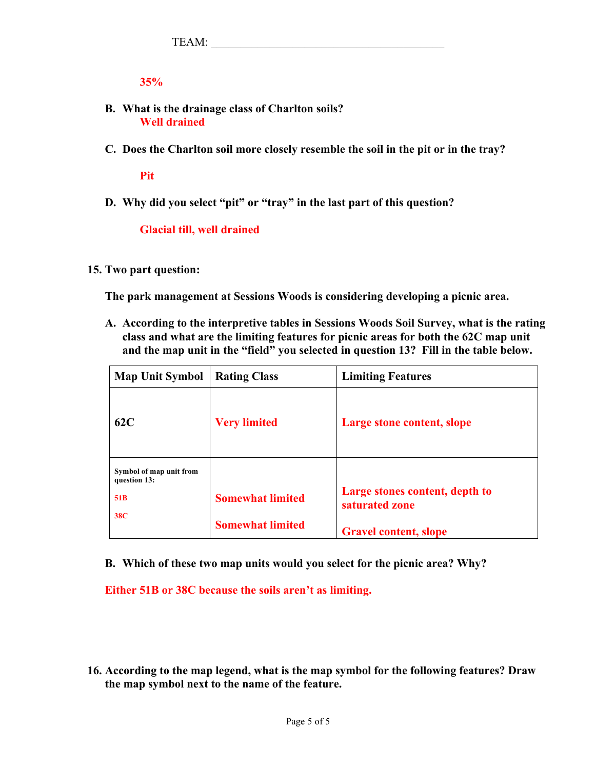**35%**

- **B. What is the drainage class of Charlton soils? Well drained**
- **C. Does the Charlton soil more closely resemble the soil in the pit or in the tray?**

**Pit**

**D. Why did you select "pit" or "tray" in the last part of this question?**

**Glacial till, well drained**

#### **15. Two part question:**

**The park management at Sessions Woods is considering developing a picnic area.** 

**A. According to the interpretive tables in Sessions Woods Soil Survey, what is the rating class and what are the limiting features for picnic areas for both the 62C map unit and the map unit in the "field" you selected in question 13? Fill in the table below.**

| <b>Map Unit Symbol</b>                  | <b>Rating Class</b>     | <b>Limiting Features</b>                         |
|-----------------------------------------|-------------------------|--------------------------------------------------|
| 62C                                     | <b>Very limited</b>     | Large stone content, slope                       |
| Symbol of map unit from<br>question 13: |                         |                                                  |
| 51 <sub>B</sub>                         | <b>Somewhat limited</b> | Large stones content, depth to<br>saturated zone |
| <b>38C</b>                              | <b>Somewhat limited</b> | <b>Gravel content, slope</b>                     |

**B. Which of these two map units would you select for the picnic area? Why?**

**Either 51B or 38C because the soils aren't as limiting.** 

**16. According to the map legend, what is the map symbol for the following features? Draw the map symbol next to the name of the feature.**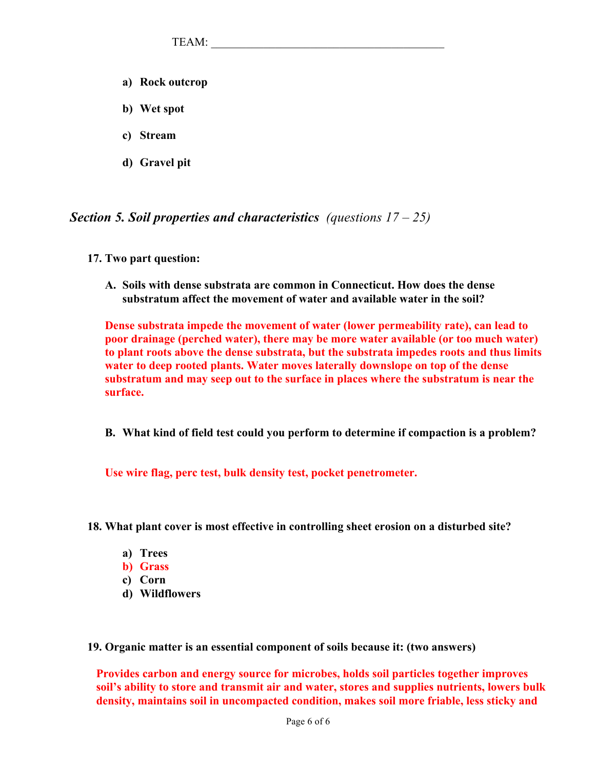- **a) Rock outcrop**
- **b) Wet spot**
- **c) Stream**
- **d) Gravel pit**

*Section 5. Soil properties and characteristics (questions 17 – 25)*

- **17. Two part question:**
	- **A. Soils with dense substrata are common in Connecticut. How does the dense substratum affect the movement of water and available water in the soil?**

**Dense substrata impede the movement of water (lower permeability rate), can lead to poor drainage (perched water), there may be more water available (or too much water) to plant roots above the dense substrata, but the substrata impedes roots and thus limits water to deep rooted plants. Water moves laterally downslope on top of the dense substratum and may seep out to the surface in places where the substratum is near the surface.** 

**B. What kind of field test could you perform to determine if compaction is a problem?** 

**Use wire flag, perc test, bulk density test, pocket penetrometer.**

- **18. What plant cover is most effective in controlling sheet erosion on a disturbed site?**
	- **a) Trees**
	- **b) Grass**
	- **c) Corn**
	- **d) Wildflowers**

**19. Organic matter is an essential component of soils because it: (two answers)**

**Provides carbon and energy source for microbes, holds soil particles together improves soil's ability to store and transmit air and water, stores and supplies nutrients, lowers bulk density, maintains soil in uncompacted condition, makes soil more friable, less sticky and**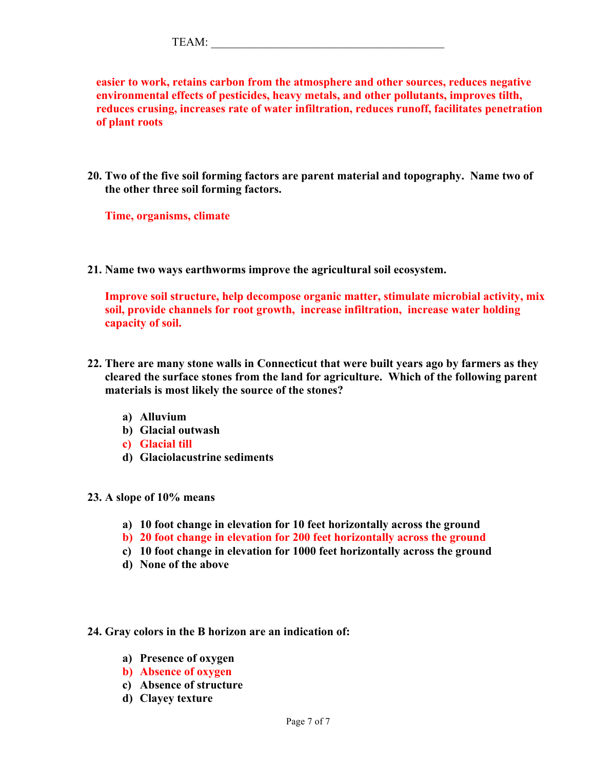| mп<br>I LANI. |  |  |  |  |
|---------------|--|--|--|--|
|               |  |  |  |  |

**easier to work, retains carbon from the atmosphere and other sources, reduces negative environmental effects of pesticides, heavy metals, and other pollutants, improves tilth, reduces crusing, increases rate of water infiltration, reduces runoff, facilitates penetration of plant roots** 

**20. Two of the five soil forming factors are parent material and topography. Name two of the other three soil forming factors.** 

**Time, organisms, climate**

**21. Name two ways earthworms improve the agricultural soil ecosystem.** 

**Improve soil structure, help decompose organic matter, stimulate microbial activity, mix soil, provide channels for root growth, increase infiltration, increase water holding capacity of soil.**

- **22. There are many stone walls in Connecticut that were built years ago by farmers as they cleared the surface stones from the land for agriculture. Which of the following parent materials is most likely the source of the stones?**
	- **a) Alluvium**
	- **b) Glacial outwash**
	- **c) Glacial till**
	- **d) Glaciolacustrine sediments**
- **23. A slope of 10% means**
	- **a) 10 foot change in elevation for 10 feet horizontally across the ground**
	- **b) 20 foot change in elevation for 200 feet horizontally across the ground**
	- **c) 10 foot change in elevation for 1000 feet horizontally across the ground**
	- **d) None of the above**

#### **24. Gray colors in the B horizon are an indication of:**

- **a) Presence of oxygen**
- **b) Absence of oxygen**
- **c) Absence of structure**
- **d) Clayey texture**